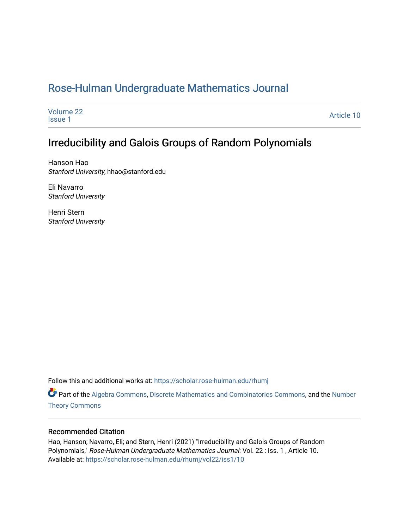## [Rose-Hulman Undergraduate Mathematics Journal](https://scholar.rose-hulman.edu/rhumj)

| Volume 22<br><b>Issue 1</b> | Article 10 |
|-----------------------------|------------|
|                             |            |

# Irreducibility and Galois Groups of Random Polynomials

Hanson Hao Stanford University, hhao@stanford.edu

Eli Navarro Stanford University

Henri Stern Stanford University

Follow this and additional works at: [https://scholar.rose-hulman.edu/rhumj](https://scholar.rose-hulman.edu/rhumj?utm_source=scholar.rose-hulman.edu%2Frhumj%2Fvol22%2Fiss1%2F10&utm_medium=PDF&utm_campaign=PDFCoverPages)

Part of the [Algebra Commons,](http://network.bepress.com/hgg/discipline/175?utm_source=scholar.rose-hulman.edu%2Frhumj%2Fvol22%2Fiss1%2F10&utm_medium=PDF&utm_campaign=PDFCoverPages) [Discrete Mathematics and Combinatorics Commons](http://network.bepress.com/hgg/discipline/178?utm_source=scholar.rose-hulman.edu%2Frhumj%2Fvol22%2Fiss1%2F10&utm_medium=PDF&utm_campaign=PDFCoverPages), and the [Number](http://network.bepress.com/hgg/discipline/183?utm_source=scholar.rose-hulman.edu%2Frhumj%2Fvol22%2Fiss1%2F10&utm_medium=PDF&utm_campaign=PDFCoverPages)  [Theory Commons](http://network.bepress.com/hgg/discipline/183?utm_source=scholar.rose-hulman.edu%2Frhumj%2Fvol22%2Fiss1%2F10&utm_medium=PDF&utm_campaign=PDFCoverPages)

#### Recommended Citation

Hao, Hanson; Navarro, Eli; and Stern, Henri (2021) "Irreducibility and Galois Groups of Random Polynomials," Rose-Hulman Undergraduate Mathematics Journal: Vol. 22 : Iss. 1 , Article 10. Available at: [https://scholar.rose-hulman.edu/rhumj/vol22/iss1/10](https://scholar.rose-hulman.edu/rhumj/vol22/iss1/10?utm_source=scholar.rose-hulman.edu%2Frhumj%2Fvol22%2Fiss1%2F10&utm_medium=PDF&utm_campaign=PDFCoverPages)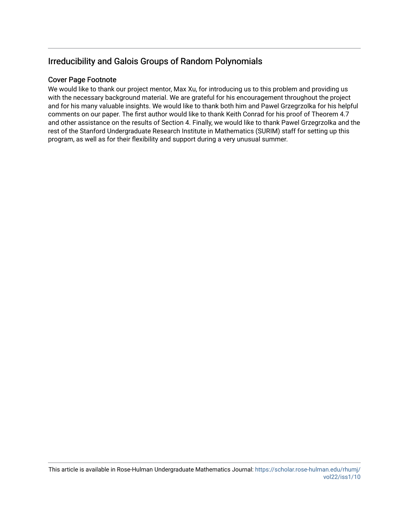## Irreducibility and Galois Groups of Random Polynomials

#### Cover Page Footnote

We would like to thank our project mentor, Max Xu, for introducing us to this problem and providing us with the necessary background material. We are grateful for his encouragement throughout the project and for his many valuable insights. We would like to thank both him and Pawel Grzegrzolka for his helpful comments on our paper. The first author would like to thank Keith Conrad for his proof of Theorem 4.7 and other assistance on the results of Section 4. Finally, we would like to thank Pawel Grzegrzolka and the rest of the Stanford Undergraduate Research Institute in Mathematics (SURIM) staff for setting up this program, as well as for their flexibility and support during a very unusual summer.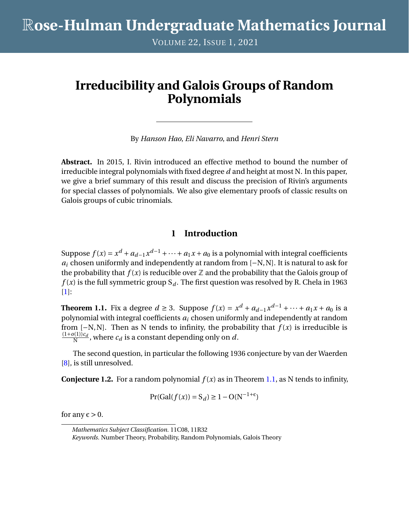VOLUME 22, ISSUE 1, 2021

# **Irreducibility and Galois Groups of Random Polynomials**

By *Hanson Hao*, *Eli Navarro*, and *Henri Stern*

**Abstract.** In 2015, I. Rivin introduced an effective method to bound the number of irreducible integral polynomials with fixed degree *d* and height at most N. In this paper, we give a brief summary of this result and discuss the precision of Rivin's arguments for special classes of polynomials. We also give elementary proofs of classic results on Galois groups of cubic trinomials.

### **1 Introduction**

Suppose  $f(x) = x^d + a_{d-1}x^{d-1} + \cdots + a_1x + a_0$  is a polynomial with integral coefficients *a*<sup>*i*</sup> chosen uniformly and independently at random from [−N,N]. It is natural to ask for the probability that  $f(x)$  is reducible over  $\mathbb Z$  and the probability that the Galois group of  $f(x)$  is the full symmetric group  $S_d$ . The first question was resolved by R. Chela in 1963 [\[1\]](#page-11-0):

<span id="page-2-0"></span>**Theorem 1.1.** Fix a degree *d* ≥ 3. Suppose  $f(x) = x^d + a_{d-1}x^{d-1} + \cdots + a_1x + a_0$  is a polynomial with integral coefficients *a<sup>i</sup>* chosen uniformly and independently at random from  $[-N, N]$ . Then as N tends to infinity, the probability that  $f(x)$  is irreducible is  $(1+o(1))c_d$  $\frac{N(1))!d}{N}$ , where  $c_d$  is a constant depending only on  $d$ .

The second question, in particular the following 1936 conjecture by van der Waerden [\[8\]](#page-12-0), is still unresolved.

<span id="page-2-1"></span>**Conjecture 1.2.** For a random polynomial  $f(x)$  as in Theorem [1.1,](#page-2-0) as N tends to infinity,

$$
Pr(Gal(f(x)) = S_d) \ge 1 - O(N^{-1+\epsilon})
$$

for any  $\varepsilon > 0$ .

*Mathematics Subject Classification.* 11C08, 11R32 *Keywords.* Number Theory, Probability, Random Polynomials, Galois Theory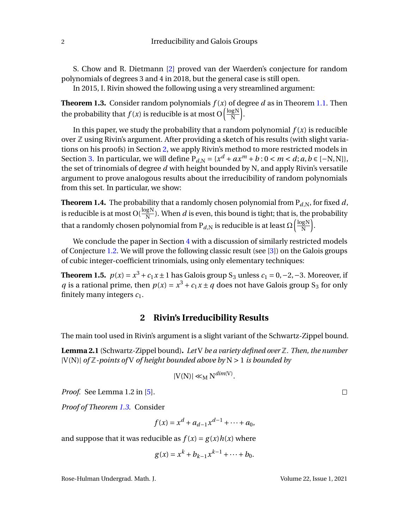S. Chow and R. Dietmann [\[2\]](#page-12-1) proved van der Waerden's conjecture for random polynomials of degrees 3 and 4 in 2018, but the general case is still open.

In 2015, I. Rivin showed the following using a very streamlined argument:

<span id="page-3-1"></span>**Theorem 1.3.** Consider random polynomials  $f(x)$  of degree *d* as in Theorem [1.1.](#page-2-0) Then the probability that  $f(x)$  is reducible is at most O  $\left(\frac{\log N}{N}\right)$ N ´ .

In this paper, we study the probability that a random polynomial  $f(x)$  is reducible over  $\mathbb Z$  using Rivin's argument. After providing a sketch of his results (with slight variations on his proofs) in Section [2,](#page-3-0) we apply Rivin's method to more restricted models in Section [3.](#page-4-0) In particular, we will define  $P_{d,N} = \{x^d + ax^m + b : 0 < m < d; a, b \in [-N, N]\},$ the set of trinomials of degree *d* with height bounded by N, and apply Rivin's versatile argument to prove analogous results about the irreducibility of random polynomials from this set. In particular, we show:

**Theorem 1.4.** The probability that a randomly chosen polynomial from  $P_{d,N}$ , for fixed *d*, is reducible is at most O( $\frac{\log N}{N}$  $\frac{g_1}{N}$ ). When *d* is even, this bound is tight; that is, the probability that a randomly chosen polynomial from  $\rm P_{\it d,N}$  is reducible is at least  $\Omega\bigl(\frac{\log N}{N}\bigr)$ N ´ .

We conclude the paper in Section [4](#page-7-0) with a discussion of similarly restricted models of Conjecture [1.2.](#page-2-1) We will prove the following classic result (see [\[3\]](#page-12-2)) on the Galois groups of cubic integer-coefficient trinomials, using only elementary techniques:

**Theorem 1.5.**  $p(x) = x^3 + c_1x \pm 1$  has Galois group S<sub>3</sub> unless  $c_1 = 0, -2, -3$ . Moreover, if *q* is a rational prime, then  $p(x) = x^3 + c_1x \pm q$  does not have Galois group S<sub>3</sub> for only finitely many integers  $c_1$ .

#### **2 Rivin's Irreducibility Results**

<span id="page-3-2"></span><span id="page-3-0"></span>The main tool used in Rivin's argument is a slight variant of the Schwartz-Zippel bound.

**Lemma 2.1** (Schwartz-Zippel bound)**.** *Let* V *be a variety defined over* Z*. Then, the number* |V(N)| *of* Z*-points of* V *of height bounded above by* N > 1 *is bounded by*

$$
|V(N)| \ll_M N^{\dim(V)}.
$$

*Proof.* See Lemma 1.2 in [\[5\]](#page-12-3).

*Proof of Theorem [1.3.](#page-3-1)* Consider

$$
f(x) = xd + ad-1xd-1 + \dots + a_0,
$$

and suppose that it was reducible as  $f(x) = g(x)h(x)$  where

$$
g(x) = x^k + b_{k-1}x^{k-1} + \dots + b_0.
$$

Rose-Hulman Undergrad. Math. J. Volume 22, Issue 1, 2021

 $\Box$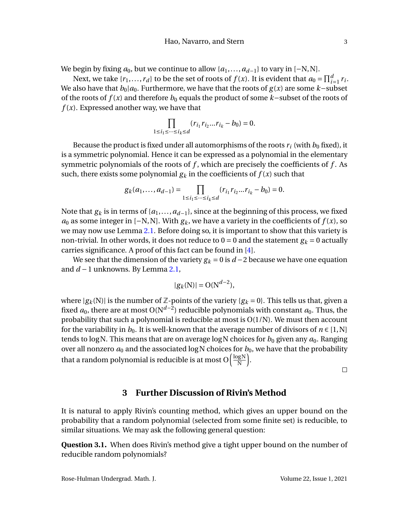We begin by fixing  $a_0$ , but we continue to allow { $a_1, \ldots, a_{d-1}$ } to vary in [−N,N].

Next, we take  $\{r_1, \ldots, r_d\}$  to be the set of roots of  $f(x)$ . It is evident that  $a_0 = \prod_{i=1}^d r_i$ . We also have that  $b_0|a_0$ . Furthermore, we have that the roots of  $g(x)$  are some *k*−subset of the roots of *f* (*x*) and therefore *b*<sup>0</sup> equals the product of some *k*−subset of the roots of  $f(x)$ . Expressed another way, we have that

$$
\prod_{1 \le i_1 \le \dots \le i_k \le d} (r_{i_1} r_{i_2} ... r_{i_k} - b_0) = 0.
$$

Because the product is fixed under all automorphisms of the roots  $r_i$  (with  $b_0$  fixed), it is a symmetric polynomial. Hence it can be expressed as a polynomial in the elementary symmetric polynomials of the roots of *f* , which are precisely the coefficients of *f* . As such, there exists some polynomial  $g_k$  in the coefficients of  $f(x)$  such that

$$
g_k(a_1,\ldots,a_{d-1})=\prod_{1\leq i_1\leq \cdots \leq i_k\leq d}(r_{i_1}r_{i_2}\ldots r_{i_k}-b_0)=0.
$$

Note that  $g_k$  is in terms of  $\{a_1, \ldots, a_{d-1}\}$ , since at the beginning of this process, we fixed *a*<sub>0</sub> as some integer in [−N,N]. With  $g_k$ , we have a variety in the coefficients of  $f(x)$ , so we may now use Lemma [2.1.](#page-3-2) Before doing so, it is important to show that this variety is non-trivial. In other words, it does not reduce to  $0 = 0$  and the statement  $g_k = 0$  actually carries significance. A proof of this fact can be found in [\[4\]](#page-12-4).

We see that the dimension of the variety  $g_k = 0$  is  $d - 2$  because we have one equation and *d* −1 unknowns. By Lemma [2.1,](#page-3-2)

$$
|g_k(\mathbf{N})| = \mathcal{O}(\mathbf{N}^{d-2}),
$$

where  $|g_k(N)|$  is the number of Z-points of the variety  $\{g_k = 0\}$ . This tells us that, given a fixed  $a_0$ , there are at most O(N<sup>d−2</sup>) reducible polynomials with constant  $a_0$ . Thus, the probability that such a polynomial is reducible at most is  $O(1/N)$ . We must then account for the variability in  $b_0$ . It is well-known that the average number of divisors of  $n \in [1, N]$ tends to log N. This means that are on average log N choices for  $b_0$  given any  $a_0$ . Ranging over all nonzero  $a_0$  and the associated logN choices for  $b_0$ , we have that the probability that a random polynomial is reducible is at most O $\left(\frac{\log N}{N}\right)$ N ´ .

 $\Box$ 

#### **3 Further Discussion of Rivin's Method**

<span id="page-4-0"></span>It is natural to apply Rivin's counting method, which gives an upper bound on the probability that a random polynomial (selected from some finite set) is reducible, to similar situations. We may ask the following general question:

**Question 3.1.** When does Rivin's method give a tight upper bound on the number of reducible random polynomials?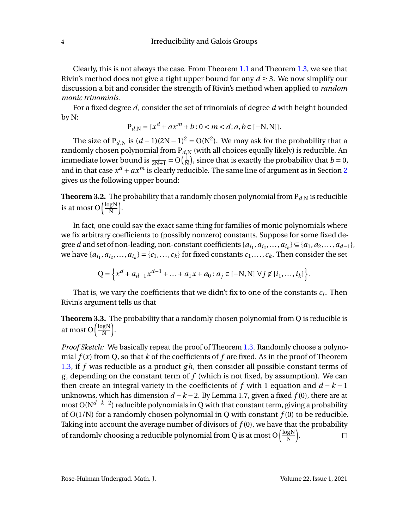Clearly, this is not always the case. From Theorem [1.1](#page-2-0) and Theorem [1.3,](#page-3-1) we see that Rivin's method does not give a tight upper bound for any  $d \geq 3$ . We now simplify our discussion a bit and consider the strength of Rivin's method when applied to *random monic trinomials*.

For a fixed degree *d*, consider the set of trinomials of degree *d* with height bounded by N:

$$
P_{d,N} = \{x^d + ax^m + b : 0 < m < d; a, b \in [-N, N]\}.
$$

The size of P<sub>d,N</sub> is  $(d-1)(2N-1)^2 = O(N^2)$ . We may ask for the probability that a randomly chosen polynomial from  $\mathrm{P}_{d,\mathrm{N}}$  (with all choices equally likely) is reducible. An immediate lower bound is  $\frac{1}{2N+1} = O\left(\frac{1}{N}\right)$  $\frac{1}{N}$ ), since that is exactly the probability that *b* = 0, and in that case  $x^d + ax^m$  is clearly reducible. The same line of argument as in Section [2](#page-3-0) gives us the following upper bound:

**Theorem 3.2.** The probability that a randomly chosen polynomial from  $P_{d,N}$  is reducible is at most O $\left(\frac{\text{logN}}{\text{N}}\right)$ N ´ .

In fact, one could say the exact same thing for families of monic polynomials where we fix arbitrary coefficients to (possibly nonzero) constants. Suppose for some fixed degree *d* and set of non-leading, non-constant coefficients  $\{a_{i_1}, a_{i_2}, \ldots, a_{i_k}\} \subseteq \{a_1, a_2, \ldots, a_{d-1}\},$ we have  $\{a_{i_1}, a_{i_2},..., a_{i_k}\} = \{c_1,..., c_k\}$  for fixed constants  $c_1,..., c_k$ . Then consider the set

$$
Q = \left\{ x^d + a_{d-1} x^{d-1} + \ldots + a_1 x + a_0 : a_j \in [-N, N] \; \forall j \notin \{i_1, \ldots, i_k\} \right\}
$$

That is, we vary the coefficients that we didn't fix to one of the constants  $c_i$ . Then Rivin's argument tells us that

**Theorem 3.3.** The probability that a randomly chosen polynomial from Q is reducible is at most O $\left(\frac{\text{log}N}{N}\right)$ N ´ .

*Proof Sketch:* We basically repeat the proof of Theorem [1.3.](#page-3-1) Randomly choose a polynomial  $f(x)$  from Q, so that  $k$  of the coefficients of  $f$  are fixed. As in the proof of Theorem [1.3,](#page-3-1) if *f* was reducible as a product *gh*, then consider all possible constant terms of *g* , depending on the constant term of *f* (which is not fixed, by assumption). We can then create an integral variety in the coefficients of  $f$  with 1 equation and  $d - k - 1$ unknowns, which has dimension *d* −*k* −2. By Lemma 1.7, given a fixed *f* (0), there are at most O(N *d*−*k*−2 ) reducible polynomials in Q with that constant term, giving a probability of  $O(1/N)$  for a randomly chosen polynomial in Q with constant  $f(0)$  to be reducible. Taking into account the average number of divisors of  $f(0)$ , we have that the probability of randomly choosing a reducible polynomial from Q is at most O $\left(\frac{\log N}{N}\right)$ ´ .  $\Box$ N

Rose-Hulman Undergrad. Math. J. Volume 22, Issue 1, 2021

.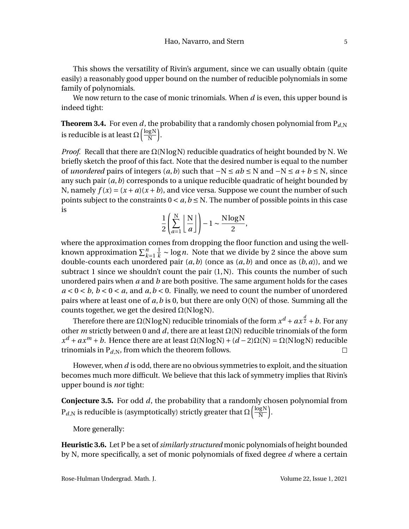This shows the versatility of Rivin's argument, since we can usually obtain (quite easily) a reasonably good upper bound on the number of reducible polynomials in some family of polynomials.

We now return to the case of monic trinomials. When *d* is even, this upper bound is indeed tight:

**Theorem 3.4.** For even *d*, the probability that a randomly chosen polynomial from  $P_{d,N}$ is reducible is at least  $\Omega\left(\frac{\log N}{N}\right)$ N ´ .

*Proof.* Recall that there are  $\Omega(N \log N)$  reducible quadratics of height bounded by N. We briefly sketch the proof of this fact. Note that the desired number is equal to the number of *unordered* pairs of integers  $(a, b)$  such that  $-N \le ab \le N$  and  $-N \le a + b \le N$ , since any such pair (*a*,*b*) corresponds to a unique reducible quadratic of height bounded by N, namely  $f(x) = (x + a)(x + b)$ , and vice versa. Suppose we count the number of such points subject to the constraints  $0 < a, b \le N$ . The number of possible points in this case is

$$
\frac{1}{2} \left( \sum_{a=1}^{N} \left\lfloor \frac{N}{a} \right\rfloor \right) - 1 \sim \frac{N \log N}{2},
$$

where the approximation comes from dropping the floor function and using the wellknown approximation  $\sum_{k=1}^n \frac{1}{k}$  $\frac{1}{k}$  ~ log *n*. Note that we divide by 2 since the above sum double-counts each unordered pair (*a*,*b*) (once as (*a*,*b*) and once as (*b*,*a*)), and we subtract 1 since we shouldn't count the pair  $(1, N)$ . This counts the number of such unordered pairs when *a* and *b* are both positive. The same argument holds for the cases  $a < 0 < b$ ,  $b < 0 < a$ , and  $a, b < 0$ . Finally, we need to count the number of unordered pairs where at least one of *a*,*b* is 0, but there are only O(N) of those. Summing all the counts together, we get the desired  $\Omega(N \log N)$ .

Therefore there are Ω(NlogN) reducible trinomials of the form  $x^d + a x^{\frac{d}{2}} + b.$  For any other *m* strictly between 0 and *d*, there are at least  $\Omega(N)$  reducible trinomials of the form  $x^d + ax^m + b$ . Hence there are at least  $\Omega(N \log N) + (d - 2)\Omega(N) = \Omega(N \log N)$  reducible trinomials in  $P_{d,N}$ , from which the theorem follows.  $\Box$ 

However, when *d* is odd, there are no obvious symmetries to exploit, and the situation becomes much more difficult. We believe that this lack of symmetry implies that Rivin's upper bound is *not* tight:

**Conjecture 3.5.** For odd *d*, the probability that a randomly chosen polynomial from  $\mathrm{P}_{d,\mathrm{N}}$  is reducible is (asymptotically) strictly greater that  $\Omega\bigl(\frac{\log \mathrm{N}}{\mathrm{N}}\bigr)$ N ´ .

More generally:

**Heuristic 3.6.** Let P be a set of*similarly structured* monic polynomials of height bounded by N, more specifically, a set of monic polynomials of fixed degree *d* where a certain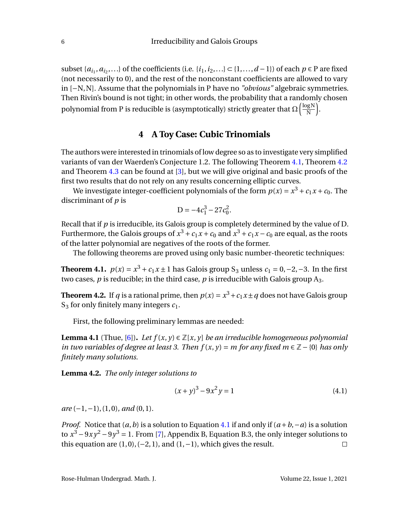subset { $a_{i_1}, a_{i_2}, ...$ } of the coefficients (i.e. { $i_1, i_2, ...$ } ⊂ {1,..., *d* − 1}) of each *p* ∈ P are fixed (not necessarily to 0), and the rest of the nonconstant coefficients are allowed to vary in [−N,N]. Assume that the polynomials in P have no *"obvious"* algebraic symmetries. Then Rivin's bound is not tight; in other words, the probability that a randomly chosen polynomial from P is reducible is (asymptotically) strictly greater that  $\Omega\bigl(\frac{\log N}{N}\bigr)$ N ´ .

#### **4 A Toy Case: Cubic Trinomials**

<span id="page-7-0"></span>The authors were interested in trinomials of low degree so as to investigate very simplified variants of van der Waerden's Conjecture 1.2. The following Theorem [4.1,](#page-7-1) Theorem [4.2](#page-7-2) and Theorem [4.3](#page-11-1) can be found at [\[3\]](#page-12-2), but we will give original and basic proofs of the first two results that do not rely on any results concerning elliptic curves.

We investigate integer-coefficient polynomials of the form  $p(x) = x^3 + c_1x + c_0$ . The discriminant of *p* is

$$
D = -4c_1^3 - 27c_0^2.
$$

Recall that if *p* is irreducible, its Galois group is completely determined by the value of D. Furthermore, the Galois groups of  $x^3 + c_1x + c_0$  and  $x^3 + c_1x - c_0$  are equal, as the roots of the latter polynomial are negatives of the roots of the former.

The following theorems are proved using only basic number-theoretic techniques:

<span id="page-7-1"></span>**Theorem 4.1.**  $p(x) = x^3 + c_1x \pm 1$  has Galois group S<sub>3</sub> unless  $c_1 = 0, -2, -3$ . In the first two cases,  $p$  is reducible; in the third case,  $p$  is irreducible with Galois group  $A_3$ .

<span id="page-7-2"></span>**Theorem 4.2.** If  $q$  is a rational prime, then  $p(x) = x^3 + c_1x \pm q$  does not have Galois group S<sup>3</sup> for only finitely many integers *c*1.

First, the following preliminary lemmas are needed:

<span id="page-7-6"></span>**Lemma 4.1** (Thue, [\[6\]](#page-12-5)). Let  $f(x, y) \in \mathbb{Z}[x, y]$  *be an irreducible homogeneous polynomial in two variables of degree at least 3. Then*  $f(x, y) = m$  *for any fixed*  $m \in \mathbb{Z} - {0}$  *has only finitely many solutions.*

<span id="page-7-4"></span>**Lemma 4.2.** *The only integer solutions to*

<span id="page-7-3"></span>
$$
(x+y)^3 - 9x^2y = 1
$$
\n(4.1)

*are* (−1, −1), (1, 0)*, and* (0, 1)*.* 

<span id="page-7-5"></span>*Proof.* Notice that  $(a, b)$  is a solution to Equation [4.1](#page-7-3) if and only if  $(a + b, -a)$  is a solution to  $x^3 - 9xy^2 - 9y^3 = 1$ . From [\[7\]](#page-12-6), Appendix B, Equation B.3, the only integer solutions to this equation are  $(1, 0), (-2, 1)$ , and  $(1, -1)$ , which gives the result.  $\Box$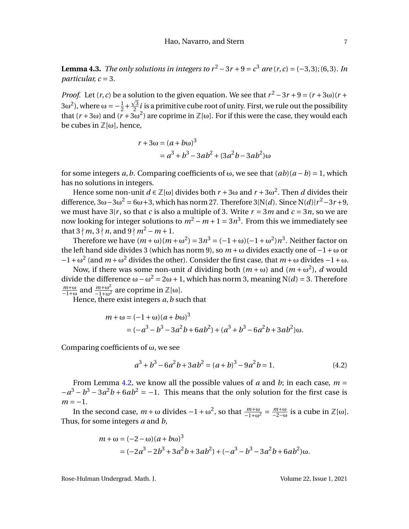**Lemma 4.3.** *The only solutions in integers to*  $r^2 - 3r + 9 = c^3$  are  $(r, c) = (-3, 3)$ ; (6,3). In *particular, c* = 3*.*

*Proof.* Let  $(r, c)$  be a solution to the given equation. We see that  $r^2 - 3r + 9 = (r + 3\omega)(r + 1)$  $3ω<sup>2</sup>$ ), where ω =  $-\frac{1}{2}$  $\frac{1}{2} + \frac{\sqrt{3}}{2}$  $\frac{\sqrt{3}}{2}i$  is a primitive cube root of unity. First, we rule out the possibility that  $(r+3\omega)$  and  $(r+3\omega^2)$  are coprime in  $\mathbb{Z}[\omega]$ . For if this were the case, they would each be cubes in  $\mathbb{Z}[\omega]$ , hence,

$$
r + 3\omega = (a + b\omega)^3
$$
  
=  $a^3 + b^3 - 3ab^2 + (3a^2b - 3ab^2)\omega$ 

for some integers *a*,*b*. Comparing coefficients of ω, we see that (*ab*)(*a* −*b*) = 1, which has no solutions in integers.

Hence some non-unit  $d \in \mathbb{Z}[\omega]$  divides both  $r + 3\omega$  and  $r + 3\omega^2$ . Then  $d$  divides their difference,  $3\omega - 3\omega^2 = 6\omega + 3$ , which has norm 27. Therefore 3|N(*d*). Since N(*d*)| $r^2 - 3r + 9$ , we must have  $3|r$ , so that *c* is also a multiple of 3. Write  $r = 3m$  and  $c = 3n$ , so we are now looking for integer solutions to  $m^2 - m + 1 = 3n^3$ . From this we immediately see that  $3 \nmid m, 3 \nmid n$ , and  $9 \nmid m^2 - m + 1$ .

Therefore we have  $(m + \omega)(m + \omega^2) = 3n^3 = (-1 + \omega)(-1 + \omega^2)n^3$ . Neither factor on the left hand side divides 3 (which has norm 9), so *m* +ω divides exactly one of −1+ω or  $-1 + ω<sup>2</sup>$  (and *m* + ω<sup>2</sup> divides the other). Consider the first case, that *m* + ω divides −1 + ω.

Now, if there was some non-unit *d* dividing both (*m* + ω) and (*m* + ω<sup>2</sup>), *d* would divide the difference ω−ω <sup>2</sup> = 2ω+1, which has norm 3, meaning N(*d*) = 3. Therefore *m*+ω  $\frac{m+\omega}{-1+\omega}$  and  $\frac{m+\omega^2}{-1+\omega^2}$  are coprime in ℤ[ω].

Hence, there exist integers *a*,*b* such that

$$
m + \omega = (-1 + \omega)(a + b\omega)^3
$$
  
=  $(-a^3 - b^3 - 3a^2b + 6ab^2) + (a^3 + b^3 - 6a^2b + 3ab^2)\omega.$ 

Comparing coefficients of  $\omega$ , we see

<span id="page-8-0"></span>
$$
a^3 + b^3 - 6a^2b + 3ab^2 = (a+b)^3 - 9a^2b = 1.
$$
 (4.2)

From Lemma [4.2,](#page-7-4) we know all the possible values of *a* and *b*; in each case,  $m =$  $-a^3 - b^3 - 3a^2b + 6ab^2 = -1$ . This means that the only solution for the first case is  $m = -1$ .

In the second case,  $m + \omega$  divides  $-1 + \omega^2$ , so that  $\frac{m+\omega}{-1+\omega^2} = \frac{m+\omega}{-2-\omega}$  $\frac{m+\omega}{-2-\omega}$  is a cube in  $\mathbb{Z}[\omega]$ . Thus, for some integers *a* and *b*,

$$
m + \omega = (-2 - \omega)(a + b\omega)^3
$$
  
= (-2a<sup>3</sup> - 2b<sup>3</sup> + 3a<sup>2</sup>b + 3ab<sup>2</sup>) + (-a<sup>3</sup> - b<sup>3</sup> - 3a<sup>2</sup>b + 6ab<sup>2</sup>) $\omega$ .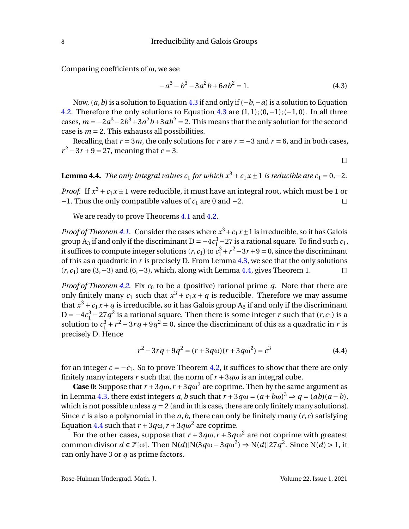Comparing coefficients of  $\omega$ , we see

<span id="page-9-0"></span>
$$
-a^3 - b^3 - 3a^2b + 6ab^2 = 1.
$$
 (4.3)

Now, (*a*,*b*) is a solution to Equation [4.3](#page-9-0) if and only if (−*b*,−*a*) is a solution to Equation [4.2.](#page-8-0) Therefore the only solutions to Equation [4.3](#page-9-0) are  $(1,1)$ ;  $(0,-1)$ ;  $(-1,0)$ . In all three cases,  $m = -2a^3 - 2b^3 + 3a^2b + 3ab^2 = 2$ . This means that the only solution for the second case is  $m = 2$ . This exhausts all possibilities.

Recalling that  $r = 3m$ , the only solutions for  $r$  are  $r = -3$  and  $r = 6$ , and in both cases,  $r^2 - 3r + 9 = 27$ , meaning that  $c = 3$ .

 $\Box$ 

<span id="page-9-1"></span>**Lemma 4.4.** *The only integral values c*<sub>1</sub> *for which*  $x^3 + c_1x \pm 1$  *is reducible are c*<sub>1</sub> = 0, -2*.* 

*Proof.* If  $x^3 + c_1x \pm 1$  were reducible, it must have an integral root, which must be 1 or −1. Thus the only compatible values of *c*<sup>1</sup> are 0 and −2.  $\Box$ 

We are ready to prove Theorems [4.1](#page-7-1) and [4.2.](#page-7-2)

*Proof of Theorem [4.1.](#page-7-1)* Consider the cases where  $x^3 + c_1x \pm 1$  is irreducible, so it has Galois group A<sub>3</sub> if and only if the discriminant D =  $-4c_1^3 - 27$  is a rational square. To find such  $c_1$ , it suffices to compute integer solutions  $(r, c_1)$  to  $c_1^3 + r^2 - 3r + 9 = 0$ , since the discriminant of this as a quadratic in *r* is precisely D. From Lemma [4.3,](#page-7-5) we see that the only solutions (*r*,*c*1) are (3,−3) and (6,−3), which, along with Lemma [4.4,](#page-9-1) gives Theorem 1.  $\Box$ 

*Proof of Theorem* [4.2.](#page-7-2) Fix  $c_0$  to be a (positive) rational prime  $q$ . Note that there are only finitely many  $c_1$  such that  $x^3 + c_1x + q$  is reducible. Therefore we may assume that  $x^3 + c_1x + q$  is irreducible, so it has Galois group  $\mathrm{A}_3$  if and only if the discriminant D =  $-4c_1^3 - 27q^2$  is a rational square. Then there is some integer *r* such that (*r*,*c*<sub>1</sub>) is a solution to  $c_1^3 + r^2 - 3rq + 9q^2 = 0$ , since the discriminant of this as a quadratic in *r* is precisely D. Hence

<span id="page-9-2"></span>
$$
r^{2}-3rq+9q^{2} = (r+3q\omega)(r+3q\omega^{2}) = c^{3}
$$
\n(4.4)

for an integer  $c = -c_1$ . So to prove Theorem [4.2,](#page-7-2) it suffices to show that there are only finitely many integers *r* such that the norm of  $r + 3q\omega$  is an integral cube.

**Case 0:** Suppose that  $r + 3q\omega$ ,  $r + 3q\omega^2$  are coprime. Then by the same argument as in Lemma [4.3,](#page-7-5) there exist integers *a*,*b* such that  $r + 3q\omega = (a + b\omega)^3 \Rightarrow q = (ab)(a - b)$ , which is not possible unless  $q = 2$  (and in this case, there are only finitely many solutions). Since  $r$  is also a polynomial in the  $a$ ,  $b$ , there can only be finitely many  $(r, c)$  satisfying Equation [4.4](#page-9-2) such that  $r + 3q\omega$ ,  $r + 3q\omega^2$  are coprime.

For the other cases, suppose that  $r + 3q\omega$ ,  $r + 3q\omega^2$  are not coprime with greatest common divisor  $d \in \mathbb{Z}[\omega]$ . Then N(*d*)|N(3*q*ω−3*q*ω<sup>2</sup>)  $\Rightarrow$  N(*d*)|27*q*<sup>2</sup>. Since N(*d*) > 1, it can only have 3 or *q* as prime factors.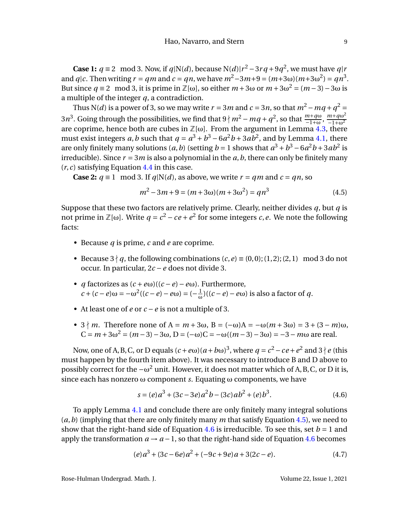**Case 1:**  $q \equiv 2 \mod 3$ . Now, if  $q|N(d)$ , because  $N(d)|r^2 - 3rq + 9q^2$ , we must have  $q|r$ and *q*|*c*. Then writing *r* = *qm* and *c* = *qn*, we have  $m^2 - 3m + 9 = (m+3\omega)(m+3\omega^2) = qn^3$ . But since  $q \equiv 2 \mod 3$ , it is prime in  $\mathbb{Z}[\omega]$ , so either  $m + 3\omega$  or  $m + 3\omega^2 = (m - 3) - 3\omega$  is a multiple of the integer *q*, a contradiction.

Thus N(*d*) is a power of 3, so we may write  $r = 3m$  and  $c = 3n$ , so that  $m^2 - mq + q^2 =$  $3n^3$ . Going through the possibilities, we find that  $9 \nmid m^2 - mq + q^2$ , so that  $\frac{m + q\omega}{-1 + \omega}, \frac{m + q\omega^2}{-1 + \omega^2}$  $-1+\omega^2$ are coprime, hence both are cubes in  $\mathbb{Z}[\omega]$ . From the argument in Lemma [4.3,](#page-7-5) there must exist integers *a*,*b* such that  $q = a^3 + b^3 - 6a^2b + 3ab^2$ , and by Lemma [4.1,](#page-7-6) there are only finitely many solutions  $(a, b)$  (setting  $b = 1$  shows that  $a^3 + b^3 - 6a^2b + 3ab^2$  is irreducible). Since  $r = 3m$  is also a polynomial in the  $a, b$ , there can only be finitely many (*r*,*c*) satisfying Equation [4.4](#page-9-2) in this case.

**Case 2:**  $q \equiv 1 \mod 3$ . If  $q|N(d)$ , as above, we write  $r = qm$  and  $c = qn$ , so

<span id="page-10-0"></span>
$$
m^{2}-3m+9 = (m+3\omega)(m+3\omega^{2}) = qn^{3}
$$
\n(4.5)

Suppose that these two factors are relatively prime. Clearly, neither divides *q*, but *q* is not prime in ℤ[ω]. Write  $q = c^2 - ce + e^2$  for some integers *c*, *e*. We note the following facts:

- Because *q* is prime, *c* and *e* are coprime.
- Because  $3 \nmid q$ , the following combinations  $(c, e) \equiv (0, 0); (1, 2); (2, 1) \mod 3$  do not occur. In particular, 2*c* −*e* does not divide 3.
- *q* factorizes as (*c* +*e*ω)((*c* −*e*)−*e*ω). Furthermore,  $c + (c - e) \omega = -\omega^2 ((c - e) - e \omega) = (-\frac{1}{\omega})$ ω )((*c* −*e*)−*e*ω) is also a factor of *q*.
- At least one of *e* or *c* −*e* is not a multiple of 3.
- $3 \nmid m$ . Therefore none of A =  $m + 3\omega$ , B =  $(-\omega)A = -\omega(m + 3\omega) = 3 + (3 m)\omega$ ,  $C = m + 3\omega^2 = (m - 3) - 3\omega$ ,  $D = (-\omega)C = -\omega((m - 3) - 3\omega) = -3 - m\omega$  are real.

Now, one of A, B, C, or D equals  $(c + e\omega)(a + b\omega)^3$ , where  $q = c^2 - ce + e^2$  and  $3 \nmid e$  (this must happen by the fourth item above). It was necessary to introduce B and D above to possibly correct for the  $-\omega^2$  unit. However, it does not matter which of A, B, C, or D it is, since each has nonzero ω component *s*. Equating ω components, we have

$$
s = (e)a3 + (3c - 3e)a2b - (3c)ab2 + (e)b3.
$$
 (4.6)

To apply Lemma [4.1](#page-7-6) and conclude there are only finitely many integral solutions (*a*,*b*) (implying that there are only finitely many *m* that satisfy Equation [4.5\)](#page-10-0), we need to show that the right-hand side of Equation [4.6](#page-10-1) is irreducible. To see this, set  $b = 1$  and apply the transformation  $a \rightarrow a-1$ , so that the right-hand side of Equation [4.6](#page-10-1) becomes

$$
(e) a3 + (3c - 6e) a2 + (-9c + 9e) a + 3(2c - e).
$$
 (4.7)

<span id="page-10-1"></span>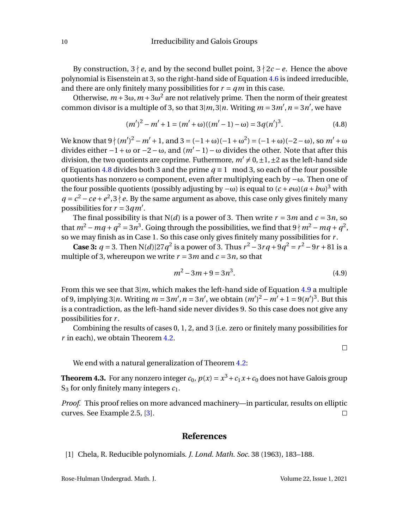By construction,  $3 \nmid e$ , and by the second bullet point,  $3 \nmid 2c - e$ . Hence the above polynomial is Eisenstein at 3, so the right-hand side of Equation [4.6](#page-10-1) is indeed irreducible, and there are only finitely many possibilities for  $r = qm$  in this case.

Otherwise,  $m + 3\omega$ ,  $m + 3\omega^2$  are not relatively prime. Then the norm of their greatest common divisor is a multiple of 3, so that  $3|m, 3|n$ . Writing  $m = 3m'$ ,  $n = 3n'$ , we have

<span id="page-11-2"></span>
$$
(m')^{2} - m' + 1 = (m' + \omega)((m' - 1) - \omega) = 3q(n')^{3}.
$$
 (4.8)

We know that  $9 \nmid (m')^2 - m' + 1$ , and  $3 = (-1 + \omega)(-1 + \omega^2) = (-1 + \omega)(-2 - \omega)$ , so  $m' + \omega$ divides either  $-1 + ω$  or  $-2 - ω$ , and  $(m' - 1) - ω$  divides the other. Note that after this division, the two quotients are coprime. Futhermore,  $m' \neq 0, \pm 1, \pm 2$  as the left-hand side of Equation [4.8](#page-11-2) divides both 3 and the prime  $q \equiv 1 \mod 3$ , so each of the four possible quotients has nonzero  $\omega$  component, even after multiplying each by  $-\omega$ . Then one of the four possible quotients (possibly adjusting by  $-\omega$ ) is equal to  $(c + eω)(a + bω)^3$  with  $q = c^2 - ce + e^2$ ,  $3 \nmid e$ . By the same argument as above, this case only gives finitely many possibilities for  $r = 3qm'$ .

The final possibility is that  $N(d)$  is a power of 3. Then write  $r = 3m$  and  $c = 3n$ , so that  $m^2 - mq + q^2 = 3n^3$ . Going through the possibilities, we find that  $9 \nmid m^2 - mq + q^2$ , so we may finish as in Case 1. So this case only gives finitely many possibilities for *r* .

**Case 3:**  $q = 3$ . Then N(*d*)|27 $q^2$  is a power of 3. Thus  $r^2 - 3rq + 9q^2 = r^2 - 9r + 81$  is a multiple of 3, whereupon we write  $r = 3m$  and  $c = 3n$ , so that

<span id="page-11-3"></span>
$$
m^2 - 3m + 9 = 3n^3. \tag{4.9}
$$

From this we see that 3|*m*, which makes the left-hand side of Equation [4.9](#page-11-3) a multiple of 9, implying 3|*n*. Writing  $m = 3m'$ ,  $n = 3n'$ , we obtain  $(m')^2 - m' + 1 = 9(n')^3$ . But this is a contradiction, as the left-hand side never divides 9. So this case does not give any possibilities for *r* .

Combining the results of cases 0, 1, 2, and 3 (i.e. zero or finitely many possibilities for *r* in each), we obtain Theorem [4.2.](#page-7-2)

 $\Box$ 

We end with a natural generalization of Theorem [4.2:](#page-7-2)

<span id="page-11-1"></span>**Theorem 4.3.** For any nonzero integer  $c_0$ ,  $p(x) = x^3 + c_1x + c_0$  does not have Galois group S<sup>3</sup> for only finitely many integers *c*1.

*Proof.* This proof relies on more advanced machinery—in particular, results on elliptic curves. See Example 2.5, [\[3\]](#page-12-2).  $\Box$ 

#### **References**

<span id="page-11-0"></span>[1] Chela, R. Reducible polynomials. *J. Lond. Math. Soc.* 38 (1963), 183–188.